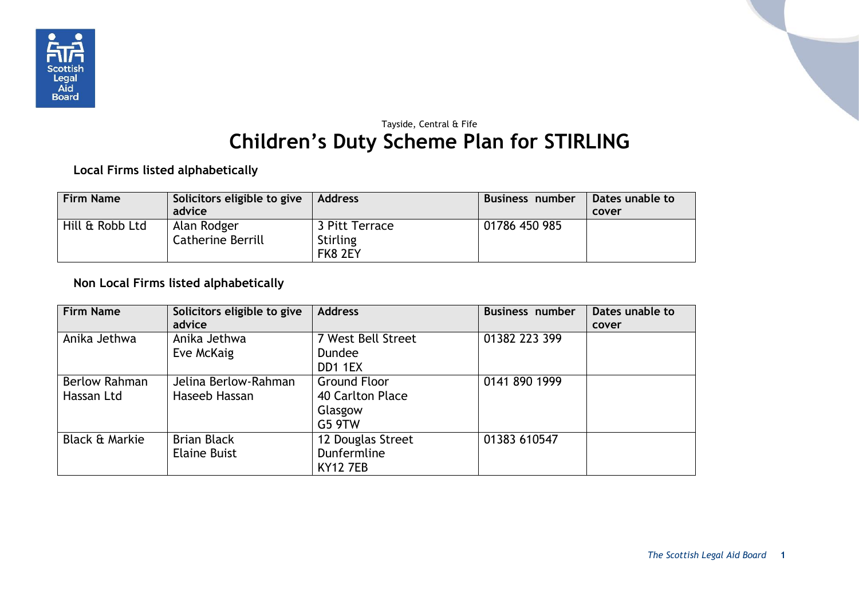

## Tayside, Central & Fife **Children's Duty Scheme Plan for STIRLING**

**Local Firms listed alphabetically**

| <b>Firm Name</b> | Solicitors eligible to give<br>advice | <b>Address</b>                               | <b>Business number</b> | Dates unable to<br>cover |
|------------------|---------------------------------------|----------------------------------------------|------------------------|--------------------------|
| Hill & Robb Ltd  | Alan Rodger<br>Catherine Berrill      | 3 Pitt Terrace<br><b>Stirling</b><br>FK8 2EY | 01786 450 985          |                          |

## **Non Local Firms listed alphabetically**

| <b>Firm Name</b>                   | Solicitors eligible to give<br>advice     | <b>Address</b>                                               | <b>Business number</b> | Dates unable to<br>cover |
|------------------------------------|-------------------------------------------|--------------------------------------------------------------|------------------------|--------------------------|
| Anika Jethwa                       | Anika Jethwa<br>Eve McKaig                | 7 West Bell Street<br><b>Dundee</b><br>DD1 1EX               | 01382 223 399          |                          |
| <b>Berlow Rahman</b><br>Hassan Ltd | Jelina Berlow-Rahman<br>Haseeb Hassan     | <b>Ground Floor</b><br>40 Carlton Place<br>Glasgow<br>G5 9TW | 0141 890 1999          |                          |
| <b>Black &amp; Markie</b>          | <b>Brian Black</b><br><b>Elaine Buist</b> | 12 Douglas Street<br>Dunfermline<br><b>KY12 7EB</b>          | 01383 610547           |                          |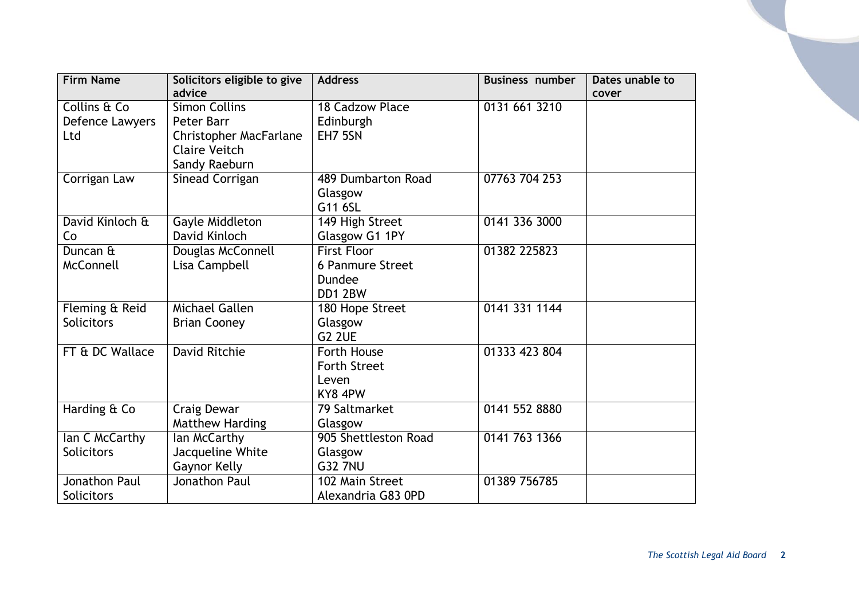| <b>Firm Name</b>     | Solicitors eligible to give   | <b>Address</b>       | <b>Business number</b> | Dates unable to |
|----------------------|-------------------------------|----------------------|------------------------|-----------------|
|                      | advice                        |                      |                        | cover           |
| Collins & Co         | <b>Simon Collins</b>          | 18 Cadzow Place      | 0131 661 3210          |                 |
| Defence Lawyers      | Peter Barr                    | Edinburgh            |                        |                 |
| Ltd                  | <b>Christopher MacFarlane</b> | EH7 5SN              |                        |                 |
|                      | <b>Claire Veitch</b>          |                      |                        |                 |
|                      | Sandy Raeburn                 |                      |                        |                 |
| Corrigan Law         | Sinead Corrigan               | 489 Dumbarton Road   | 07763 704 253          |                 |
|                      |                               | Glasgow              |                        |                 |
|                      |                               | G11 6SL              |                        |                 |
| David Kinloch &      | Gayle Middleton               | 149 High Street      | 0141 336 3000          |                 |
| Co                   | David Kinloch                 | Glasgow G1 1PY       |                        |                 |
| Duncan &             | Douglas McConnell             | <b>First Floor</b>   | 01382 225823           |                 |
| <b>McConnell</b>     | Lisa Campbell                 | 6 Panmure Street     |                        |                 |
|                      |                               | Dundee               |                        |                 |
|                      |                               | DD1 2BW              |                        |                 |
| Fleming & Reid       | Michael Gallen                | 180 Hope Street      | 0141 331 1144          |                 |
| <b>Solicitors</b>    | <b>Brian Cooney</b>           | Glasgow              |                        |                 |
|                      |                               | <b>G2 2UE</b>        |                        |                 |
| FT & DC Wallace      | <b>David Ritchie</b>          | Forth House          | 01333 423 804          |                 |
|                      |                               | <b>Forth Street</b>  |                        |                 |
|                      |                               | Leven                |                        |                 |
|                      |                               | KY8 4PW              |                        |                 |
| Harding & Co         | Craig Dewar                   | 79 Saltmarket        | 0141 552 8880          |                 |
|                      | <b>Matthew Harding</b>        | Glasgow              |                        |                 |
| Ian C McCarthy       | lan McCarthy                  | 905 Shettleston Road | 0141 763 1366          |                 |
| Solicitors           | Jacqueline White              | Glasgow              |                        |                 |
|                      | Gaynor Kelly                  | <b>G32 7NU</b>       |                        |                 |
| <b>Jonathon Paul</b> | Jonathon Paul                 | 102 Main Street      | 01389 756785           |                 |
| <b>Solicitors</b>    |                               | Alexandria G83 0PD   |                        |                 |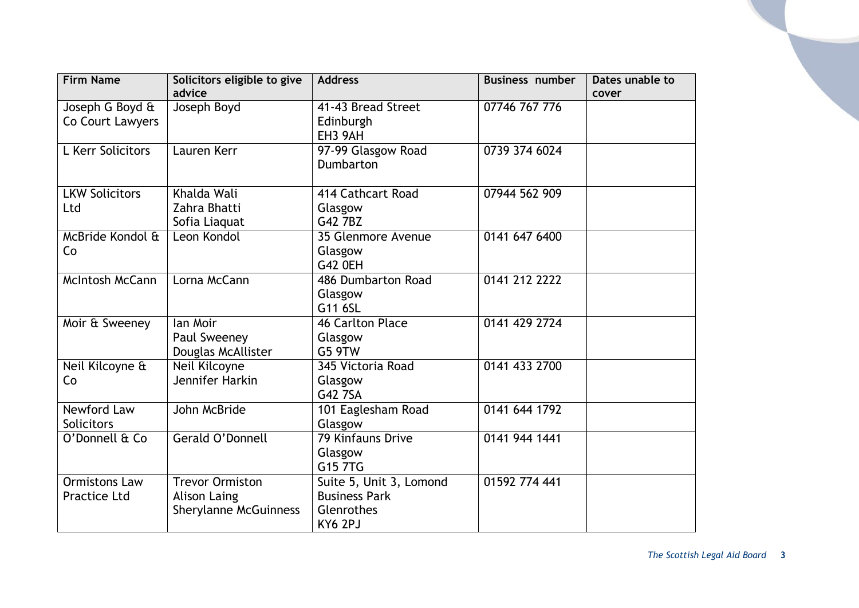| <b>Firm Name</b>                            | Solicitors eligible to give<br>advice                                         | <b>Address</b>                                                           | <b>Business number</b> | Dates unable to<br>cover |
|---------------------------------------------|-------------------------------------------------------------------------------|--------------------------------------------------------------------------|------------------------|--------------------------|
| Joseph G Boyd &<br>Co Court Lawyers         | Joseph Boyd                                                                   | 41-43 Bread Street<br>Edinburgh                                          | 07746 767 776          |                          |
|                                             |                                                                               | EH3 9AH                                                                  |                        |                          |
| L Kerr Solicitors                           | Lauren Kerr                                                                   | 97-99 Glasgow Road<br><b>Dumbarton</b>                                   | 0739 374 6024          |                          |
| <b>LKW Solicitors</b>                       | Khalda Wali                                                                   | 414 Cathcart Road                                                        | 07944 562 909          |                          |
| Ltd                                         | Zahra Bhatti<br>Sofia Liaquat                                                 | Glasgow<br>G42 7BZ                                                       |                        |                          |
| McBride Kondol &<br>Co                      | Leon Kondol                                                                   | 35 Glenmore Avenue<br>Glasgow<br><b>G42 OEH</b>                          | 0141 647 6400          |                          |
| <b>McIntosh McCann</b>                      | Lorna McCann                                                                  | 486 Dumbarton Road<br>Glasgow<br>G11 6SL                                 | 0141 212 2222          |                          |
| Moir & Sweeney                              | lan Moir<br>Paul Sweeney<br>Douglas McAllister                                | <b>46 Carlton Place</b><br>Glasgow<br>G5 9TW                             | 0141 429 2724          |                          |
| Neil Kilcoyne &<br>Co                       | Neil Kilcoyne<br>Jennifer Harkin                                              | 345 Victoria Road<br>Glasgow<br>G42 7SA                                  | 0141 433 2700          |                          |
| <b>Newford Law</b><br><b>Solicitors</b>     | John McBride                                                                  | 101 Eaglesham Road<br>Glasgow                                            | 0141 644 1792          |                          |
| O'Donnell & Co                              | Gerald O'Donnell                                                              | <b>79 Kinfauns Drive</b><br>Glasgow<br>G15 7TG                           | 0141 944 1441          |                          |
| <b>Ormistons Law</b><br><b>Practice Ltd</b> | <b>Trevor Ormiston</b><br><b>Alison Laing</b><br><b>Sherylanne McGuinness</b> | Suite 5, Unit 3, Lomond<br><b>Business Park</b><br>Glenrothes<br>KY6 2PJ | 01592 774 441          |                          |